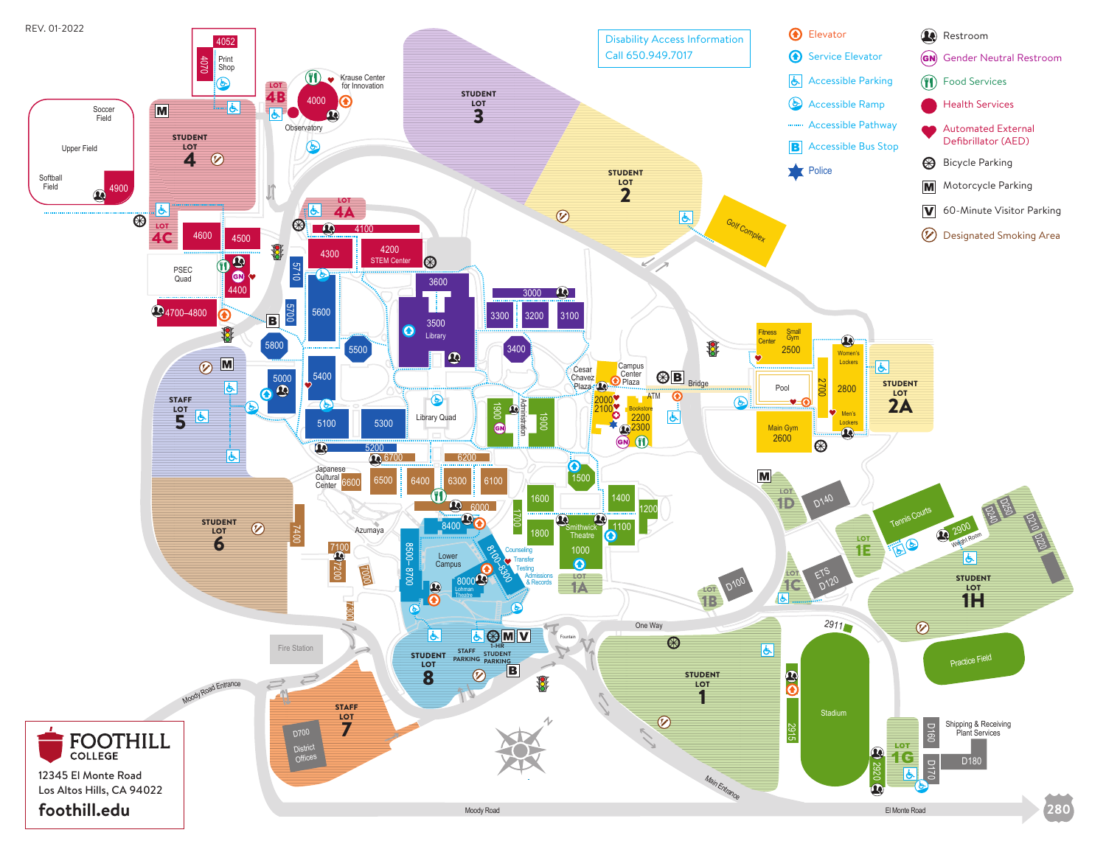